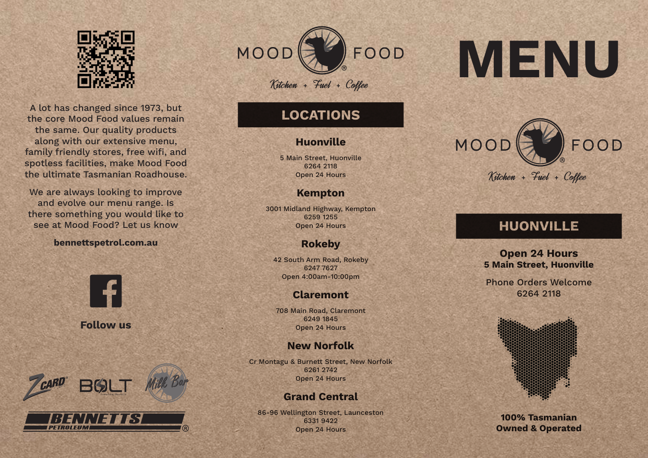

A lot has changed since 1973, but the core Mood Food values remain the same. Our quality products along with our extensive menu, family friendly stores, free wifi, and spotless facilities, make Mood Food the ultimate Tasmanian Roadhouse.

We are always looking to improve and evolve our menu range. Is there something you would like to see at Mood Food? Let us know

### **bennettspetrol.com.au**



**Follow us**



PETROLEUM



# **LOCATIONS**

## **Huonville**

5 Main Street, Huonville 6264 2118 Open 24 Hours

# **Kempton**

3001 Midland Highway, Kempton 6259 1255 Open 24 Hours

# **Rokeby**

42 South Arm Road, Rokeby 6247 7627 Open 4:00am-10:00pm

# **Claremont**

708 Main Road, Claremont 6249 1845 Open 24 Hours

# **New Norfolk**

Cr Montagu & Burnett Street, New Norfolk 6261 2742 Open 24 Hours

# **Grand Central**

86-96 Wellington Street, Launceston 6331 9422 Open 24 Hours

# **MENU**



# **HUONVILLE**

**Open 24 Hours 5 Main Street, Huonville**

Phone Orders Welcome 6264 2118



**100% Tasmanian Owned & Operated**